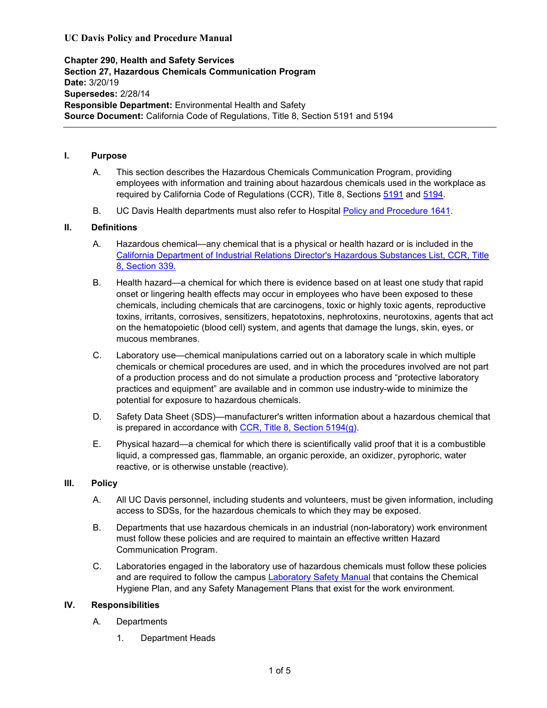# **UC Davis Policy and Procedure Manual**

**Chapter 290, Health and Safety Services Section 27, Hazardous Chemicals Communication Program Date:** 3/20/19 **Supersedes:** 2/28/14 **Responsible Department:** Environmental Health and Safety **Source Document:** California Code of Regulations, Title 8, Section 5191 and 5194

## **I. Purpose**

- A. This section describes the Hazardous Chemicals Communication Program, providing employees with information and training about hazardous chemicals used in the workplace as required by California Code of Regulations (CCR), Title 8, Sections [5191](http://www.dir.ca.gov/title8/5191.html) and [5194](https://www.dir.ca.gov/title8/5194.html).
- B. UC Davis Health departments must also refer to Hospital [Policy and Procedure 1641.](http://intranet.ucdmc.ucdavis.edu/policies/hospital_policies_and_procedures/environmental_health_and_safety/1641.shtml)

## **II. Definitions**

- A. Hazardous chemical—any chemical that is a physical or health hazard or is included in the [California Department of Industrial Relations Director's Hazardous Substances List, CCR, Title](http://www.dir.ca.gov/title8/339.html)  [8, Section 339.](http://www.dir.ca.gov/title8/339.html)
- B. Health hazard—a chemical for which there is evidence based on at least one study that rapid onset or lingering health effects may occur in employees who have been exposed to these chemicals, including chemicals that are carcinogens, toxic or highly toxic agents, reproductive toxins, irritants, corrosives, sensitizers, hepatotoxins, nephrotoxins, neurotoxins, agents that act on the hematopoietic (blood cell) system, and agents that damage the lungs, skin, eyes, or mucous membranes.
- C. Laboratory use—chemical manipulations carried out on a laboratory scale in which multiple chemicals or chemical procedures are used, and in which the procedures involved are not part of a production process and do not simulate a production process and "protective laboratory practices and equipment" are available and in common use industry-wide to minimize the potential for exposure to hazardous chemicals.
- D. Safety Data Sheet (SDS)—manufacturer's written information about a hazardous chemical that is prepared in accordance with [CCR, Title 8, Section 5194\(g\).](https://www.dir.ca.gov/title8/5194.html)
- E. Physical hazard—a chemical for which there is scientifically valid proof that it is a combustible liquid, a compressed gas, flammable, an organic peroxide, an oxidizer, pyrophoric, water reactive, or is otherwise unstable (reactive).

# **III. Policy**

- A. All UC Davis personnel, including students and volunteers, must be given information, including access to SDSs, for the hazardous chemicals to which they may be exposed.
- B. Departments that use hazardous chemicals in an industrial (non-laboratory) work environment must follow these policies and are required to maintain an effective written Hazard Communication Program.
- C. Laboratories engaged in the laboratory use of hazardous chemicals must follow these policies and are required to follow the campus [Laboratory Safety Manual](https://safetyservices.ucdavis.edu/article/laboratory-safety-manual) that contains the Chemical Hygiene Plan, and any Safety Management Plans that exist for the work environment.

## **IV. Responsibilities**

- A. Departments
	- 1. Department Heads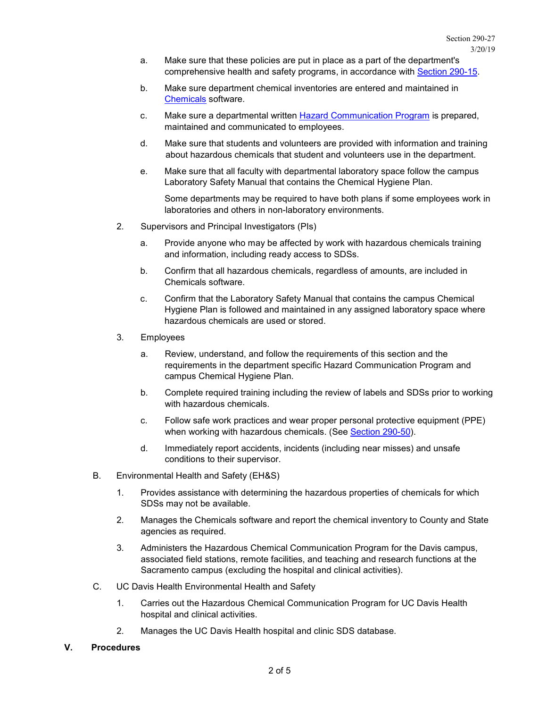- a. Make sure that these policies are put in place as a part of the department's comprehensive health and safety programs, in accordance with [Section 290-15.](https://ucdavispolicy.ellucid.com/documents/view/273/293/)
- b. Make sure department chemical inventories are entered and maintained in [Chemicals](https://ehs.ucop.edu/chemicals) software.
- c. Make sure a departmental written [Hazard Communication Program](https://safetyservices.ucdavis.edu/sites/default/files/documents/HazCom%20Final.pdf) is prepared, maintained and communicated to employees.
- d. Make sure that students and volunteers are provided with information and training about hazardous chemicals that student and volunteers use in the department.
- e. Make sure that all faculty with departmental laboratory space follow the campus Laboratory Safety Manual that contains the Chemical Hygiene Plan.

Some departments may be required to have both plans if some employees work in laboratories and others in non-laboratory environments.

- 2. Supervisors and Principal Investigators (PIs)
	- a. Provide anyone who may be affected by work with hazardous chemicals training and information, including ready access to SDSs.
	- b. Confirm that all hazardous chemicals, regardless of amounts, are included in Chemicals software.
	- c. Confirm that the Laboratory Safety Manual that contains the campus Chemical Hygiene Plan is followed and maintained in any assigned laboratory space where hazardous chemicals are used or stored.
- 3. Employees
	- a. Review, understand, and follow the requirements of this section and the requirements in the department specific Hazard Communication Program and campus Chemical Hygiene Plan.
	- b. Complete required training including the review of labels and SDSs prior to working with hazardous chemicals.
	- c. Follow safe work practices and wear proper personal protective equipment (PPE) when working with hazardous chemicals. (See [Section 290-50\)](https://ucdavispolicy.ellucid.com/documents/view/297/317/).
	- d. Immediately report accidents, incidents (including near misses) and unsafe conditions to their supervisor.
- B. Environmental Health and Safety (EH&S)
	- 1. Provides assistance with determining the hazardous properties of chemicals for which SDSs may not be available.
	- 2. Manages the Chemicals software and report the chemical inventory to County and State agencies as required.
	- 3. Administers the Hazardous Chemical Communication Program for the Davis campus, associated field stations, remote facilities, and teaching and research functions at the Sacramento campus (excluding the hospital and clinical activities).
- C. UC Davis Health Environmental Health and Safety
	- 1. Carries out the Hazardous Chemical Communication Program for UC Davis Health hospital and clinical activities.
	- 2. Manages the UC Davis Health hospital and clinic SDS database.
- **V. Procedures**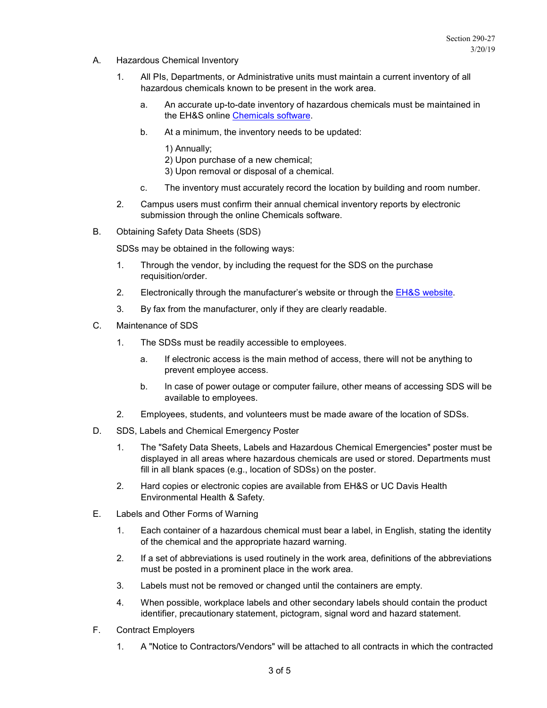- A. Hazardous Chemical Inventory
	- 1. All PIs, Departments, or Administrative units must maintain a current inventory of all hazardous chemicals known to be present in the work area.
		- a. An accurate up-to-date inventory of hazardous chemicals must be maintained in the EH&S online [Chemicals software.](http://safetyapps.ucdavis.edu/EHS/cis/index.cfm)
		- b. At a minimum, the inventory needs to be updated:
			- 1) Annually;
			- 2) Upon purchase of a new chemical;
			- 3) Upon removal or disposal of a chemical.
		- c. The inventory must accurately record the location by building and room number.
	- 2. Campus users must confirm their annual chemical inventory reports by electronic submission through the online Chemicals software.
- B. Obtaining Safety Data Sheets (SDS)

SDSs may be obtained in the following ways:

- 1. Through the vendor, by including the request for the SDS on the purchase requisition/order.
- 2. Electronically through the manufacturer's website or through the [EH&S website.](http://safetyservices.ucdavis.edu/ps/cls/msds)
- 3. By fax from the manufacturer, only if they are clearly readable.
- C. Maintenance of SDS
	- 1. The SDSs must be readily accessible to employees.
		- a. If electronic access is the main method of access, there will not be anything to prevent employee access.
		- b. In case of power outage or computer failure, other means of accessing SDS will be available to employees.
	- 2. Employees, students, and volunteers must be made aware of the location of SDSs.
- D. SDS, Labels and Chemical Emergency Poster
	- 1. The "Safety Data Sheets, Labels and Hazardous Chemical Emergencies" poster must be displayed in all areas where hazardous chemicals are used or stored. Departments must fill in all blank spaces (e.g., location of SDSs) on the poster.
	- 2. Hard copies or electronic copies are available from EH&S or UC Davis Health Environmental Health & Safety.
- E. Labels and Other Forms of Warning
	- 1. Each container of a hazardous chemical must bear a label, in English, stating the identity of the chemical and the appropriate hazard warning.
	- 2. If a set of abbreviations is used routinely in the work area, definitions of the abbreviations must be posted in a prominent place in the work area.
	- 3. Labels must not be removed or changed until the containers are empty.
	- 4. When possible, workplace labels and other secondary labels should contain the product identifier, precautionary statement, pictogram, signal word and hazard statement.
- F. Contract Employers
	- 1. A "Notice to Contractors/Vendors" will be attached to all contracts in which the contracted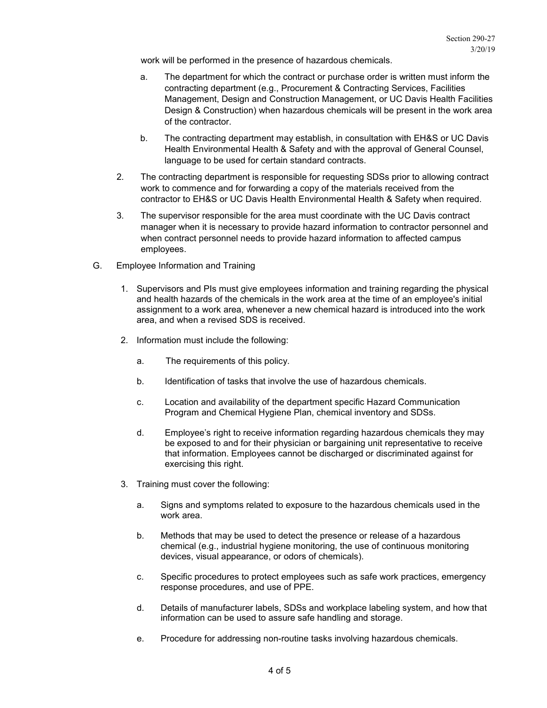work will be performed in the presence of hazardous chemicals.

- a. The department for which the contract or purchase order is written must inform the contracting department (e.g., Procurement & Contracting Services, Facilities Management, Design and Construction Management, or UC Davis Health Facilities Design & Construction) when hazardous chemicals will be present in the work area of the contractor.
- b. The contracting department may establish, in consultation with EH&S or UC Davis Health Environmental Health & Safety and with the approval of General Counsel, language to be used for certain standard contracts.
- 2. The contracting department is responsible for requesting SDSs prior to allowing contract work to commence and for forwarding a copy of the materials received from the contractor to EH&S or UC Davis Health Environmental Health & Safety when required.
- 3. The supervisor responsible for the area must coordinate with the UC Davis contract manager when it is necessary to provide hazard information to contractor personnel and when contract personnel needs to provide hazard information to affected campus employees.
- G. Employee Information and Training
	- 1. Supervisors and PIs must give employees information and training regarding the physical and health hazards of the chemicals in the work area at the time of an employee's initial assignment to a work area, whenever a new chemical hazard is introduced into the work area, and when a revised SDS is received.
	- 2. Information must include the following:
		- a. The requirements of this policy.
		- b. Identification of tasks that involve the use of hazardous chemicals.
		- c. Location and availability of the department specific Hazard Communication Program and Chemical Hygiene Plan, chemical inventory and SDSs.
		- d. Employee's right to receive information regarding hazardous chemicals they may be exposed to and for their physician or bargaining unit representative to receive that information. Employees cannot be discharged or discriminated against for exercising this right.
	- 3. Training must cover the following:
		- a. Signs and symptoms related to exposure to the hazardous chemicals used in the work area.
		- b. Methods that may be used to detect the presence or release of a hazardous chemical (e.g., industrial hygiene monitoring, the use of continuous monitoring devices, visual appearance, or odors of chemicals).
		- c. Specific procedures to protect employees such as safe work practices, emergency response procedures, and use of PPE.
		- d. Details of manufacturer labels, SDSs and workplace labeling system, and how that information can be used to assure safe handling and storage.
		- e. Procedure for addressing non-routine tasks involving hazardous chemicals.